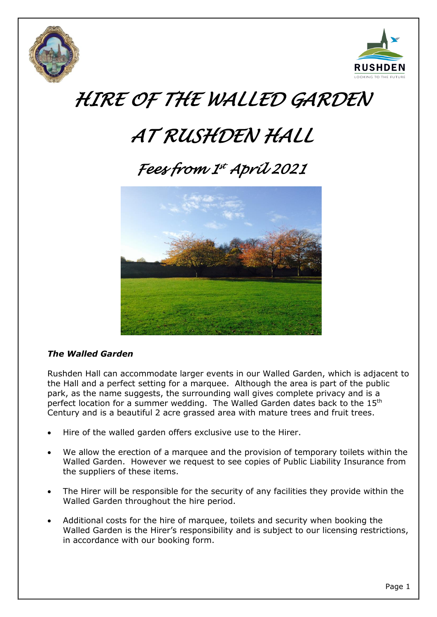



# *HIRE OF THE WALLED GARDEN*

# *AT RUSHDEN HALL*

# *Fees from 1 st April 2021*



## *The Walled Garden*

Rushden Hall can accommodate larger events in our Walled Garden, which is adjacent to the Hall and a perfect setting for a marquee. Although the area is part of the public park, as the name suggests, the surrounding wall gives complete privacy and is a perfect location for a summer wedding. The Walled Garden dates back to the 15<sup>th</sup> Century and is a beautiful 2 acre grassed area with mature trees and fruit trees.

- Hire of the walled garden offers exclusive use to the Hirer.
- We allow the erection of a marquee and the provision of temporary toilets within the Walled Garden. However we request to see copies of Public Liability Insurance from the suppliers of these items.
- The Hirer will be responsible for the security of any facilities they provide within the Walled Garden throughout the hire period.
- Additional costs for the hire of marquee, toilets and security when booking the Walled Garden is the Hirer's responsibility and is subject to our licensing restrictions, in accordance with our booking form.